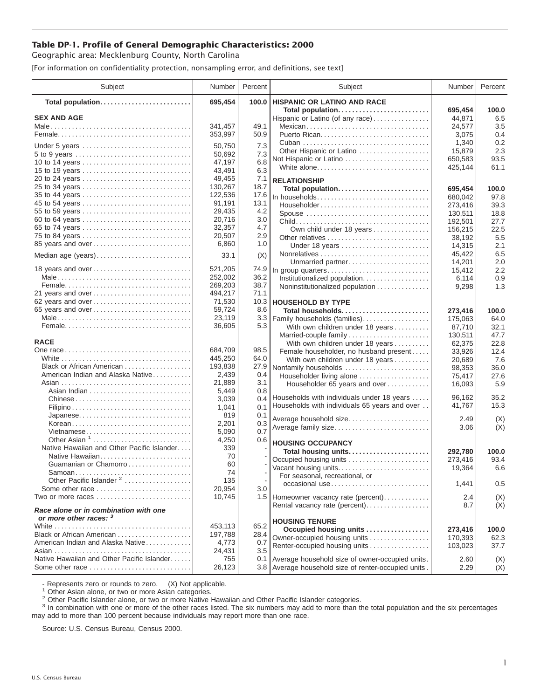## **Table DP-1. Profile of General Demographic Characteristics: 2000**

Geographic area: Mecklenburg County, North Carolina

[For information on confidentiality protection, nonsampling error, and definitions, see text]

| Subject                                    | Number  | Percent | Subject                                          | Number  | Percent |
|--------------------------------------------|---------|---------|--------------------------------------------------|---------|---------|
| Total population                           | 695,454 | 100.0   | <b>HISPANIC OR LATINO AND RACE</b>               |         |         |
|                                            |         |         | Total population                                 | 695,454 | 100.0   |
| <b>SEX AND AGE</b>                         |         |         | Hispanic or Latino (of any race)                 | 44,871  | 6.5     |
|                                            | 341.457 | 49.1    | Mexican                                          | 24,577  | 3.5     |
|                                            | 353,997 | 50.9    | Puerto Rican                                     | 3,075   | 0.4     |
| Under 5 years                              | 50,750  | 7.3     |                                                  | 1,340   | 0.2     |
|                                            | 50,692  | 7.3     | Other Hispanic or Latino                         | 15,879  | 2.3     |
| 10 to 14 years                             | 47,197  | 6.8     | Not Hispanic or Latino                           | 650,583 | 93.5    |
| 15 to 19 years                             | 43,491  | 6.3     | White alone                                      | 425,144 | 61.1    |
|                                            | 49,455  | 7.1     | <b>RELATIONSHIP</b>                              |         |         |
| 25 to 34 years                             | 130,267 | 18.7    | Total population                                 | 695,454 | 100.0   |
| 35 to 44 years                             | 122,536 | 17.6    | In households                                    | 680,042 | 97.8    |
| 45 to 54 years                             | 91,191  | 13.1    | Householder                                      | 273,416 | 39.3    |
| 55 to 59 years                             | 29,435  | 4.2     | Spouse                                           | 130,511 | 18.8    |
| 60 to 64 years                             | 20,716  | 3.0     |                                                  | 192,501 | 27.7    |
| 65 to 74 years                             | 32,357  | 4.7     | Own child under 18 years                         | 156,215 | 22.5    |
| 75 to 84 years                             | 20,507  | 2.9     | Other relatives                                  | 38,192  | 5.5     |
| 85 years and over                          | 6,860   | 1.0     | Under 18 years                                   | 14,315  | 2.1     |
|                                            |         |         |                                                  | 45,422  | 6.5     |
| Median age (years)                         | 33.1    | (X)     | Unmarried partner                                | 14,201  | 2.0     |
| 18 years and over                          | 521,205 | 74.9    | In group quarters                                | 15,412  | 2.2     |
|                                            | 252,002 | 36.2    | Institutionalized population                     | 6,114   | 0.9     |
|                                            | 269,203 | 38.7    | Noninstitutionalized population                  | 9,298   | 1.3     |
| 21 years and over                          | 494,217 | 71.1    |                                                  |         |         |
| 62 years and over                          | 71,530  | 10.3    | <b>HOUSEHOLD BY TYPE</b>                         |         |         |
| 65 years and over                          | 59,724  | 8.6     | Total households                                 | 273,416 | 100.0   |
|                                            | 23,119  | 3.3     | Family households (families)                     | 175,063 | 64.0    |
|                                            | 36,605  | 5.3     | With own children under 18 years                 | 87,710  | 32.1    |
|                                            |         |         | Married-couple family                            | 130,511 | 47.7    |
| <b>RACE</b>                                |         |         | With own children under 18 years                 | 62,375  | 22.8    |
|                                            | 684,709 | 98.5    | Female householder, no husband present           | 33,926  | 12.4    |
|                                            | 445,250 | 64.0    | With own children under 18 years                 | 20,689  | 7.6     |
| Black or African American                  | 193,838 | 27.9    | Nonfamily households                             | 98,353  | 36.0    |
| American Indian and Alaska Native          | 2,439   | 0.4     | Householder living alone                         | 75,417  | 27.6    |
|                                            | 21,889  | 3.1     | Householder 65 years and over                    | 16,093  | 5.9     |
|                                            | 5,449   | 0.8     |                                                  |         |         |
| Chinese                                    | 3,039   | 0.4     | Households with individuals under 18 years       | 96,162  | 35.2    |
|                                            | 1,041   | 0.1     | Households with individuals 65 years and over    | 41,767  | 15.3    |
| Japanese                                   | 819     | 0.1     |                                                  |         |         |
| Korean                                     | 2,201   | 0.3     | Average household size                           | 2.49    | (X)     |
| Vietnamese                                 | 5,090   | 0.7     | Average family size                              | 3.06    | (X)     |
| Other Asian <sup>1</sup>                   | 4,250   | 0.6     |                                                  |         |         |
| Native Hawaiian and Other Pacific Islander | 339     |         | <b>HOUSING OCCUPANCY</b>                         |         |         |
| Native Hawaiian                            | 70      |         | Total housing units                              | 292,780 | 100.0   |
| Guamanian or Chamorro                      | 60      |         | Occupied housing units                           | 273,416 | 93.4    |
| Samoan                                     | 74      |         | Vacant housing units                             | 19,364  | 6.6     |
| Other Pacific Islander <sup>2</sup>        | 135     |         | For seasonal, recreational, or                   |         |         |
| Some other race                            | 20,954  | 3.0     | occasional use                                   | 1,441   | 0.5     |
| Two or more races                          | 10,745  |         | 1.5   Homeowner vacancy rate (percent)           | 2.4     | (X)     |
| Race alone or in combination with one      |         |         | Rental vacancy rate (percent)                    | 8.7     | (X)     |
| or more other races: 3                     |         |         | <b>HOUSING TENURE</b>                            |         |         |
|                                            | 453,113 | 65.2    | Occupied housing units                           | 273,416 | 100.0   |
| Black or African American                  | 197,788 | 28.4    | Owner-occupied housing units                     | 170,393 | 62.3    |
| American Indian and Alaska Native          | 4,773   | 0.7     | Renter-occupied housing units                    | 103,023 | 37.7    |
|                                            | 24,431  | 3.5     |                                                  |         |         |
| Native Hawaiian and Other Pacific Islander | 755     | 0.1     | Average household size of owner-occupied units.  | 2.60    | (X)     |
| Some other race                            | 26,123  | 3.8     | Average household size of renter-occupied units. | 2.29    | (X)     |

- Represents zero or rounds to zero. (X) Not applicable.<br><sup>1</sup> Other Asian alone, or two or more Asian categories.

<sup>2</sup> Other Pacific Islander alone, or two or more Native Hawaiian and Other Pacific Islander categories.<br><sup>3</sup> In combination with one or more of the other races listed. The six numbers may add to more than the total populati may add to more than 100 percent because individuals may report more than one race.

Source: U.S. Census Bureau, Census 2000.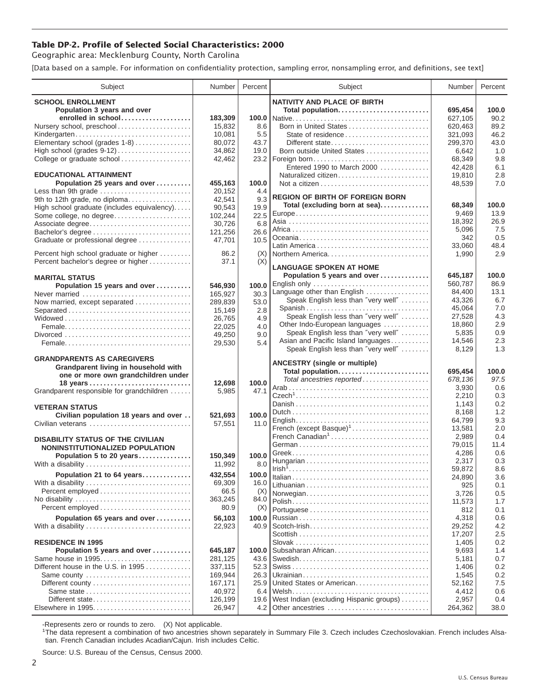## **Table DP-2. Profile of Selected Social Characteristics: 2000**

Geographic area: Mecklenburg County, North Carolina

[Data based on a sample. For information on confidentiality protection, sampling error, nonsampling error, and definitions, see text]

| Subject                                     | Number          | Percent | Subject                                                                                 | Number        | Percent    |
|---------------------------------------------|-----------------|---------|-----------------------------------------------------------------------------------------|---------------|------------|
| <b>SCHOOL ENROLLMENT</b>                    |                 |         | <b>NATIVITY AND PLACE OF BIRTH</b>                                                      |               |            |
| Population 3 years and over                 |                 |         | Total population                                                                        | 695,454       | 100.0      |
| enrolled in school                          | 183,309         |         |                                                                                         | 627,105       | 90.2       |
| Nursery school, preschool                   | 15,832          | 8.6     | Born in United States                                                                   | 620,463       | 89.2       |
| Kindergarten                                | 10,081          | 5.5     | State of residence                                                                      | 321,093       | 46.2       |
| Elementary school (grades 1-8)              | 80,072          | 43.7    | Different state                                                                         | 299,370       | 43.0       |
| High school (grades $9-12$ )                | 34,862          | 19.0    | Born outside United States                                                              | 6,642         | 1.0        |
| College or graduate school                  | 42,462          | 23.2    | Foreign born                                                                            | 68,349        | 9.8        |
|                                             |                 |         | Entered 1990 to March 2000                                                              | 42.428        | 6.1        |
| <b>EDUCATIONAL ATTAINMENT</b>               |                 |         | Naturalized citizen                                                                     | 19,810        | 2.8        |
| Population 25 years and over                | 455,163         | 100.0   |                                                                                         | 48,539        | 7.0        |
| Less than 9th grade                         | 20,152          | 4.4     |                                                                                         |               |            |
| 9th to 12th grade, no diploma               | 42,541          | 9.3     | <b>REGION OF BIRTH OF FOREIGN BORN</b>                                                  |               |            |
| High school graduate (includes equivalency) | 90,543          | 19.9    | Total (excluding born at sea)                                                           | 68,349        | 100.0      |
| Some college, no degree                     | 102,244         | 22.5    |                                                                                         | 9,469         | 13.9       |
| Associate degree                            | 30,726          | 6.8     |                                                                                         | 18,392        | 26.9       |
| Bachelor's degree                           | 121,256         | 26.6    |                                                                                         | 5,096         | 7.5<br>0.5 |
| Graduate or professional degree             | 47,701          | 10.5    |                                                                                         | 342<br>33,060 | 48.4       |
| Percent high school graduate or higher      | 86.2            | (X)     | Northern America                                                                        | 1,990         | 2.9        |
| Percent bachelor's degree or higher         | 37.1            | (X)     |                                                                                         |               |            |
|                                             |                 |         | <b>LANGUAGE SPOKEN AT HOME</b>                                                          |               |            |
| <b>MARITAL STATUS</b>                       |                 |         | Population 5 years and over                                                             | 645,187       | 100.0      |
| Population 15 years and over                | 546,930         | 100.0   | English only                                                                            | 560,787       | 86.9       |
| Never married                               | 165,927         | 30.3    | Language other than English                                                             | 84,400        | 13.1       |
| Now married, except separated               | 289,839         | 53.0    | Speak English less than "very well"                                                     | 43,326        | 6.7        |
| Separated                                   | 15,149          | 2.8     | Spanish                                                                                 | 45,064        | 7.0        |
|                                             | 26,765          | 4.9     | Speak English less than "very well"                                                     | 27,528        | 4.3        |
|                                             | 22,025          | 4.0     | Other Indo-European languages                                                           | 18,860        | 2.9        |
|                                             | 49,250          | 9.0     | Speak English less than "very well"                                                     | 5,835         | 0.9        |
|                                             | 29,530          | 5.4     | Asian and Pacific Island languages                                                      | 14,546        | 2.3        |
|                                             |                 |         | Speak English less than "very well"                                                     | 8,129         | 1.3        |
| <b>GRANDPARENTS AS CAREGIVERS</b>           |                 |         | <b>ANCESTRY</b> (single or multiple)                                                    |               |            |
| Grandparent living in household with        |                 |         | Total population                                                                        | 695,454       | 100.0      |
| one or more own grandchildren under         |                 | 100.0   | Total ancestries reported                                                               | 678,136       | 97.5       |
| Grandparent responsible for grandchildren   | 12,698<br>5,985 | 47.1    |                                                                                         | 3,930         | 0.6        |
|                                             |                 |         |                                                                                         | 2,210         | 0.3        |
| <b>VETERAN STATUS</b>                       |                 |         |                                                                                         | 1,143         | 0.2        |
| Civilian population 18 years and over       | 521,693         | 100.0   |                                                                                         | 8,168         | 1.2        |
| Civilian veterans                           | 57,551          | 11.0    | $English \dots \dots \dots \dots \dots \dots \dots \dots \dots \dots \dots \dots \dots$ | 64,799        | 9.3        |
|                                             |                 |         | French (except Basque) <sup>1</sup>                                                     | 13,581        | 2.0        |
| <b>DISABILITY STATUS OF THE CIVILIAN</b>    |                 |         | French Canadian <sup>1</sup>                                                            | 2,989         | 0.4        |
| NONINSTITUTIONALIZED POPULATION             |                 |         |                                                                                         | 79,015        | 11.4       |
| Population 5 to 20 years                    | 150,349         | 100.0   |                                                                                         | 4,286         | 0.6        |
| With a disability                           | 11,992          | 8.0     |                                                                                         | 2,317         | 0.3        |
| Population 21 to 64 years                   | 432,554         | 100.0   |                                                                                         | 59,872        | 8.6        |
| With a disability                           | 69.309          | 16.0    |                                                                                         | 24,890        | 3.6        |
|                                             | 66.5            | (X)     |                                                                                         | 925           | 0.1        |
| No disability                               | 363,245         | 84.0    | Norwegian                                                                               | 3,726         | 0.5<br>1.7 |
|                                             | 80.9            | (X)     |                                                                                         | 11,573<br>812 | 0.1        |
| Population 65 years and over                | 56,103          | 100.0   |                                                                                         | 4,318         | 0.6        |
| With a disability                           | 22,923          | 40.9    | Scotch-Irish                                                                            | 29,252        | 4.2        |
|                                             |                 |         |                                                                                         | 17,207        | 2.5        |
| <b>RESIDENCE IN 1995</b>                    |                 |         |                                                                                         | 1,405         | 0.2        |
| Population 5 years and over                 | 645,187         | 100.0   | Subsaharan African                                                                      | 9,693         | 1.4        |
| Same house in 1995                          | 281,125         | 43.6    |                                                                                         | 5,181         | 0.7        |
| Different house in the U.S. in 1995         | 337,115         | 52.3    |                                                                                         | 1,406         | 0.2        |
| Same county                                 | 169,944         | 26.3    |                                                                                         | 1,545         | 0.2        |
| Different county                            | 167,171         | 25.9    | United States or American                                                               | 52,162        | 7.5        |
| Same state                                  | 40,972          | 6.4     |                                                                                         | 4,412         | 0.6        |
| Different state                             | 126,199         | 19.6    | West Indian (excluding Hispanic groups)                                                 | 2,957         | 0.4        |
| Elsewhere in 1995                           | 26,947          | 4.2     | Other ancestries                                                                        | 264,362       | 38.0       |

-Represents zero or rounds to zero. (X) Not applicable. 1 The data represent a combination of two ancestries shown separately in Summary File 3. Czech includes Czechoslovakian. French includes Alsatian. French Canadian includes Acadian/Cajun. Irish includes Celtic.

Source: U.S. Bureau of the Census, Census 2000.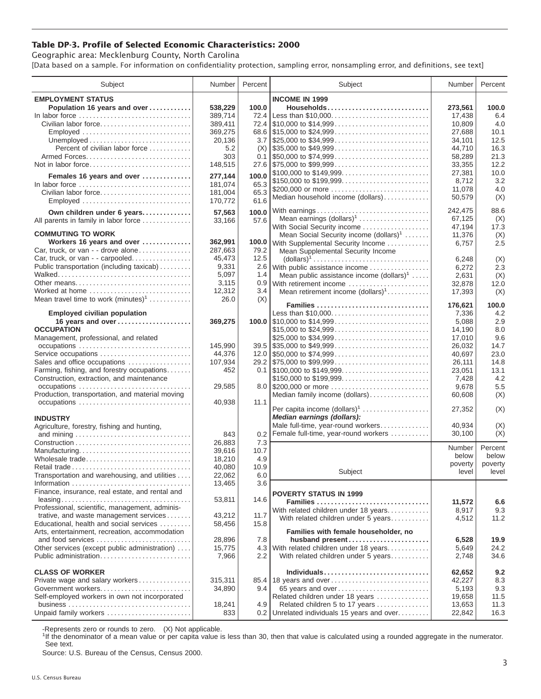## **Table DP-3. Profile of Selected Economic Characteristics: 2000**

Geographic area: Mecklenburg County, North Carolina [Data based on a sample. For information on confidentiality protection, sampling error, nonsampling error, and definitions, see text]

| Subject                                                                                  | Number           | Percent | Subject                                                                                | Number           | Percent     |
|------------------------------------------------------------------------------------------|------------------|---------|----------------------------------------------------------------------------------------|------------------|-------------|
| <b>EMPLOYMENT STATUS</b>                                                                 |                  |         | <b>INCOME IN 1999</b>                                                                  |                  |             |
| Population 16 years and over                                                             | 538.229          | 100.0   | Households                                                                             | 273,561          | 100.0       |
| In labor force                                                                           | 389,714          | 72.4    |                                                                                        | 17,438           | 6.4         |
| Civilian labor force                                                                     | 389,411          |         |                                                                                        | 10,809           | 4.0         |
| Employed                                                                                 | 369,275          |         | 68.6 $\frac{1}{315,000}$ to $\frac{24,999}{2000000}$                                   | 27,688           | 10.1        |
|                                                                                          |                  |         |                                                                                        |                  | 12.5        |
|                                                                                          | 20,136           |         |                                                                                        | 34,101           |             |
| Percent of civilian labor force                                                          | 5.2              | (X)     | $\frac{1}{2}$ \$35,000 to \$49,999                                                     | 44,710           | 16.3        |
|                                                                                          | 303              |         | $0.1$ \\$50,000 to \$74,999                                                            | 58,289           | 21.3        |
| Not in labor force                                                                       | 148,515          |         |                                                                                        | 33,355           | 12.2        |
| Females 16 years and over                                                                | 277,144          | 100.0   | \$100,000 to \$149,999                                                                 | 27,381           | 10.0<br>3.2 |
| In labor force                                                                           | 181,074          | 65.3    | \$150,000 to \$199,999                                                                 | 8,712            |             |
| Civilian labor force                                                                     | 181,004          | 65.3    | \$200,000 or more                                                                      | 11.078           | 4.0         |
|                                                                                          | 170,772          | 61.6    | Median household income (dollars)                                                      | 50,579           | (X)         |
| Own children under 6 years                                                               | 57,563           | 100.0   | With earnings                                                                          | 242,475          | 88.6        |
| All parents in family in labor force                                                     | 33,166           | 57.6    | Mean earnings (dollars) <sup>1</sup>                                                   | 67,125           | (X)         |
|                                                                                          |                  |         | With Social Security income                                                            | 47,194           | 17.3        |
| <b>COMMUTING TO WORK</b>                                                                 |                  |         | Mean Social Security income $(dollars)^1$                                              | 11,376           | (X)         |
| Workers 16 years and over                                                                | 362,991          | 100.0   | With Supplemental Security Income                                                      | 6,757            | 2.5         |
| Car, truck, or van - - drove alone                                                       | 287,663          | 79.2    | Mean Supplemental Security Income                                                      |                  |             |
| Car, truck, or van - - carpooled                                                         | 45,473           | 12.5    | $\text{(dollars)}^1 \dots \dots \dots \dots \dots \dots \dots \dots \dots \dots \dots$ | 6,248            | (X)         |
| Public transportation (including taxicab)                                                | 9,331            |         | 2.6 With public assistance income                                                      | 6,272            | 2.3         |
|                                                                                          | 5,097            | 1.4     | Mean public assistance income $(dollars)1 \ldots$ .                                    | 2,631            | (X)         |
| Other means                                                                              | 3,115            |         | 0.9 With retirement income                                                             | 32.878           | 12.0        |
| Worked at home                                                                           | 12,312           | 3.4     | Mean retirement income $(dollars)1$                                                    | 17,393           | (X)         |
| Mean travel time to work $(minutes)^1$                                                   | 26.0             | (X)     | Families                                                                               |                  | 100.0       |
| <b>Employed civilian population</b>                                                      |                  |         | Less than \$10,000                                                                     | 176,621<br>7,336 | 4.2         |
| 16 years and over                                                                        | 369,275          |         |                                                                                        | 5,088            | 2.9         |
| <b>OCCUPATION</b>                                                                        |                  |         | \$15,000 to \$24,999                                                                   | 14,190           | 8.0         |
| Management, professional, and related                                                    |                  |         | \$25,000 to \$34,999                                                                   | 17,010           | 9.6         |
|                                                                                          | 145,990          |         |                                                                                        | 26,032           | 14.7        |
| Service occupations                                                                      | 44,376           |         |                                                                                        | 40,697           | 23.0        |
| Sales and office occupations                                                             | 107,934          |         |                                                                                        | 26,111           | 14.8        |
| Farming, fishing, and forestry occupations                                               | 452              |         |                                                                                        | 23,051           | 13.1        |
| Construction, extraction, and maintenance                                                |                  |         | \$150,000 to \$199,999                                                                 | 7,428            | 4.2         |
| occupations                                                                              | 29,585           |         | 8.0 \$200,000 or more                                                                  | 9,678            | 5.5         |
| Production, transportation, and material moving                                          |                  |         | Median family income (dollars)                                                         | 60,608           | (X)         |
| occupations                                                                              | 40,938           | 11.1    |                                                                                        |                  |             |
|                                                                                          |                  |         | Per capita income $(dollars)1$                                                         | 27,352           | (X)         |
| <b>INDUSTRY</b>                                                                          |                  |         | Median earnings (dollars):                                                             |                  |             |
| Agriculture, forestry, fishing and hunting,                                              |                  |         | Male full-time, year-round workers                                                     | 40,934           | (X)         |
|                                                                                          | 843              | 0.2     | Female full-time, year-round workers                                                   | 30,100           | (X)         |
|                                                                                          | 26,883           | 7.3     |                                                                                        | Number           | Percent     |
| Manufacturing                                                                            | 39.616           | 10.7    |                                                                                        | below            | below       |
| Wholesale trade                                                                          | 18,210           | 4.9     |                                                                                        | poverty          | poverty     |
|                                                                                          | 40,080           | 10.9    | Subject                                                                                | level            | level       |
| Transportation and warehousing, and utilities                                            | 22,062           | $6.0\,$ |                                                                                        |                  |             |
|                                                                                          | 13,465           | 3.6     |                                                                                        |                  |             |
| Finance, insurance, real estate, and rental and                                          |                  |         | <b>POVERTY STATUS IN 1999</b>                                                          |                  |             |
|                                                                                          | 53,811           | 14.6    | Families                                                                               | 11,572           | 6.6         |
| Professional, scientific, management, adminis-<br>trative, and waste management services |                  | 11.7    | With related children under 18 years                                                   | 8,917            | 9.3         |
| Educational, health and social services                                                  | 43,212<br>58,456 | 15.8    | With related children under 5 years                                                    | 4,512            | 11.2        |
| Arts, entertainment, recreation, accommodation                                           |                  |         | Families with female householder, no                                                   |                  |             |
| and food services                                                                        | 28,896           | 7.8     | husband present                                                                        | 6,528            | 19.9        |
| Other services (except public administration)                                            | 15,775           | 4.3     | With related children under 18 years                                                   | 5,649            | 24.2        |
| Public administration                                                                    | 7,966            | 2.2     | With related children under 5 years                                                    | 2,748            | 34.6        |
|                                                                                          |                  |         |                                                                                        |                  |             |
| <b>CLASS OF WORKER</b>                                                                   |                  |         | Individuals                                                                            | 62,652           | 9.2         |
| Private wage and salary workers                                                          | 315,311          |         | 85.4 18 years and over                                                                 | 42,227           | 8.3         |
| Government workers                                                                       | 34,890           | 9.4     | 65 years and over                                                                      | 5,193            | 9.3         |
| Self-employed workers in own not incorporated                                            |                  |         | Related children under 18 years                                                        | 19,658           | 11.5        |
|                                                                                          | 18,241           | 4.9     | Related children 5 to 17 years                                                         | 13,653           | 11.3        |
| Unpaid family workers                                                                    | 833              | 0.2     | Unrelated individuals 15 years and over                                                | 22,842           | 16.3        |

-Represents zero or rounds to zero. (X) Not applicable.

<sup>1</sup>If the denominator of a mean value or per capita value is less than 30, then that value is calculated using a rounded aggregate in the numerator. See text.

Source: U.S. Bureau of the Census, Census 2000.